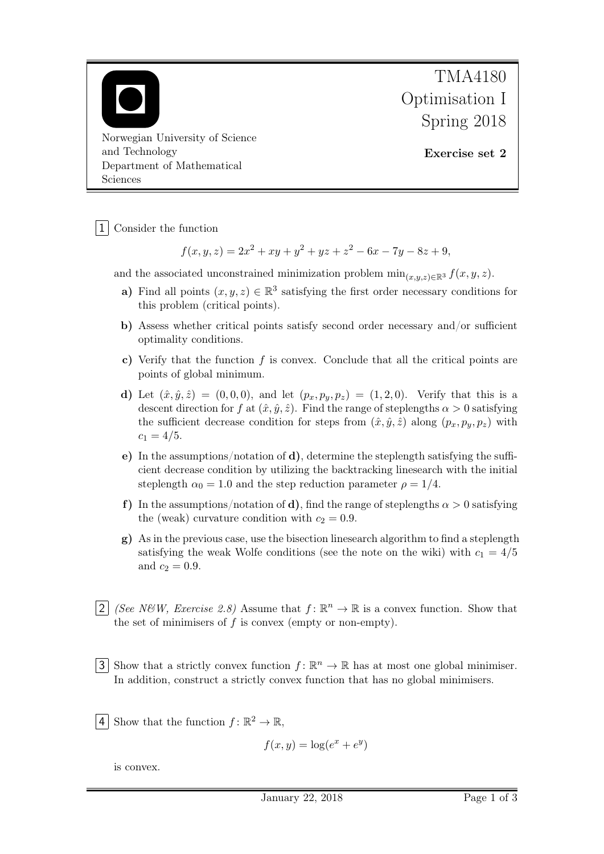

1 Consider the function

$$
f(x, y, z) = 2x2 + xy + y2 + yz + z2 - 6x - 7y - 8z + 9,
$$

and the associated unconstrained minimization problem  $\min_{(x,y,z)\in\mathbb{R}^3} f(x,y,z)$ .

- a) Find all points  $(x, y, z) \in \mathbb{R}^3$  satisfying the first order necessary conditions for this problem (critical points).
- b) Assess whether critical points satisfy second order necessary and/or sufficient optimality conditions.
- c) Verify that the function  $f$  is convex. Conclude that all the critical points are points of global minimum.
- d) Let  $(\hat{x}, \hat{y}, \hat{z}) = (0, 0, 0)$ , and let  $(p_x, p_y, p_z) = (1, 2, 0)$ . Verify that this is a descent direction for f at  $(\hat{x}, \hat{y}, \hat{z})$ . Find the range of steplengths  $\alpha > 0$  satisfying the sufficient decrease condition for steps from  $(\hat{x}, \hat{y}, \hat{z})$  along  $(p_x, p_y, p_z)$  with  $c_1 = 4/5.$
- e) In the assumptions/notation of d), determine the steplength satisfying the sufficient decrease condition by utilizing the backtracking linesearch with the initial steplength  $\alpha_0 = 1.0$  and the step reduction parameter  $\rho = 1/4$ .
- f) In the assumptions/notation of d), find the range of steplengths  $\alpha > 0$  satisfying the (weak) curvature condition with  $c_2 = 0.9$ .
- g) As in the previous case, use the bisection linesearch algorithm to find a steplength satisfying the weak Wolfe conditions (see the note on the wiki) with  $c_1 = 4/5$ and  $c_2 = 0.9$ .
- 2 (See N&W, Exercise 2.8) Assume that  $f: \mathbb{R}^n \to \mathbb{R}$  is a convex function. Show that the set of minimisers of  $f$  is convex (empty or non-empty).
- 3 Show that a strictly convex function  $f: \mathbb{R}^n \to \mathbb{R}$  has at most one global minimiser. In addition, construct a strictly convex function that has no global minimisers.
- 4 Show that the function  $f: \mathbb{R}^2 \to \mathbb{R}$ ,

$$
f(x,y) = \log(e^x + e^y)
$$

is convex.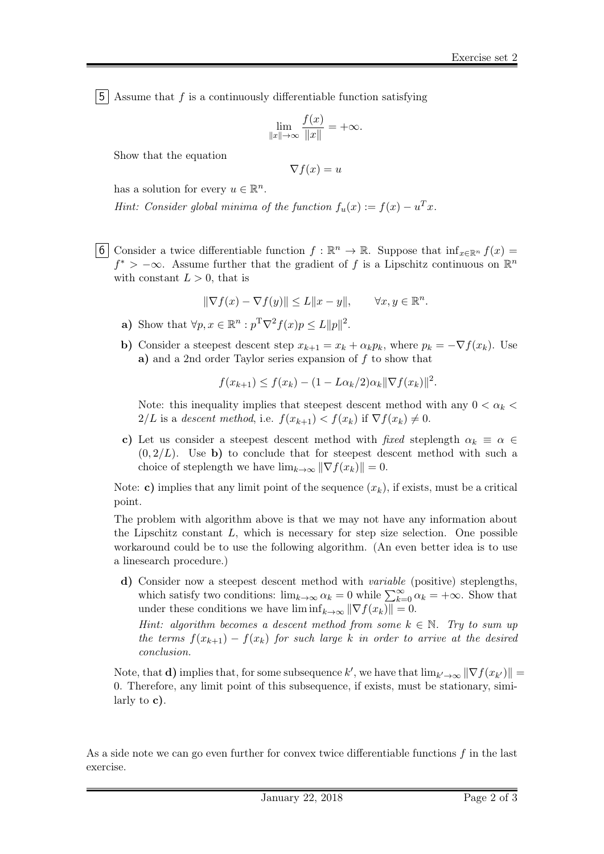$\vert 5 \vert$  Assume that f is a continuously differentiable function satisfying

$$
\lim_{\|x\| \to \infty} \frac{f(x)}{\|x\|} = +\infty.
$$

Show that the equation

$$
\nabla f(x) = u
$$

has a solution for every  $u \in \mathbb{R}^n$ .

Hint: Consider global minima of the function  $f_u(x) := f(x) - u^T x$ .

6 Consider a twice differentiable function  $f : \mathbb{R}^n \to \mathbb{R}$ . Suppose that  $\inf_{x \in \mathbb{R}^n} f(x) =$  $f^* > -\infty$ . Assume further that the gradient of f is a Lipschitz continuous on  $\mathbb{R}^n$ with constant  $L > 0$ , that is

$$
\|\nabla f(x) - \nabla f(y)\| \le L\|x - y\|, \qquad \forall x, y \in \mathbb{R}^n.
$$

- a) Show that  $\forall p, x \in \mathbb{R}^n : p^T \nabla^2 f(x) p \le L ||p||^2$ .
- b) Consider a steepest descent step  $x_{k+1} = x_k + \alpha_k p_k$ , where  $p_k = -\nabla f(x_k)$ . Use a) and a 2nd order Taylor series expansion of  $f$  to show that

$$
f(x_{k+1}) \le f(x_k) - (1 - L\alpha_k/2)\alpha_k \|\nabla f(x_k)\|^2.
$$

Note: this inequality implies that steepest descent method with any  $0 < \alpha_k$  $2/L$  is a descent method, i.e.  $f(x_{k+1}) < f(x_k)$  if  $\nabla f(x_k) \neq 0$ .

c) Let us consider a steepest descent method with fixed steplength  $\alpha_k \equiv \alpha \in$  $(0, 2/L)$ . Use b) to conclude that for steepest descent method with such a choice of steplength we have  $\lim_{k\to\infty} \|\nabla f(x_k)\| = 0.$ 

Note: c) implies that any limit point of the sequence  $(x_k)$ , if exists, must be a critical point.

The problem with algorithm above is that we may not have any information about the Lipschitz constant  $L$ , which is necessary for step size selection. One possible workaround could be to use the following algorithm. (An even better idea is to use a linesearch procedure.)

d) Consider now a steepest descent method with variable (positive) steplengths, which satisfy two conditions:  $\lim_{k\to\infty} \alpha_k = 0$  while  $\sum_{k=0}^{\infty} \alpha_k = +\infty$ . Show that under these conditions we have  $\liminf_{k\to\infty} \|\nabla f(x_k)\| = 0.$ 

Hint: algorithm becomes a descent method from some  $k \in \mathbb{N}$ . Try to sum up the terms  $f(x_{k+1}) - f(x_k)$  for such large k in order to arrive at the desired conclusion.

Note, that **d**) implies that, for some subsequence k', we have that  $\lim_{k'\to\infty} ||\nabla f(x_{k'})|| =$ 0. Therefore, any limit point of this subsequence, if exists, must be stationary, similarly to c).

As a side note we can go even further for convex twice differentiable functions  $f$  in the last exercise.